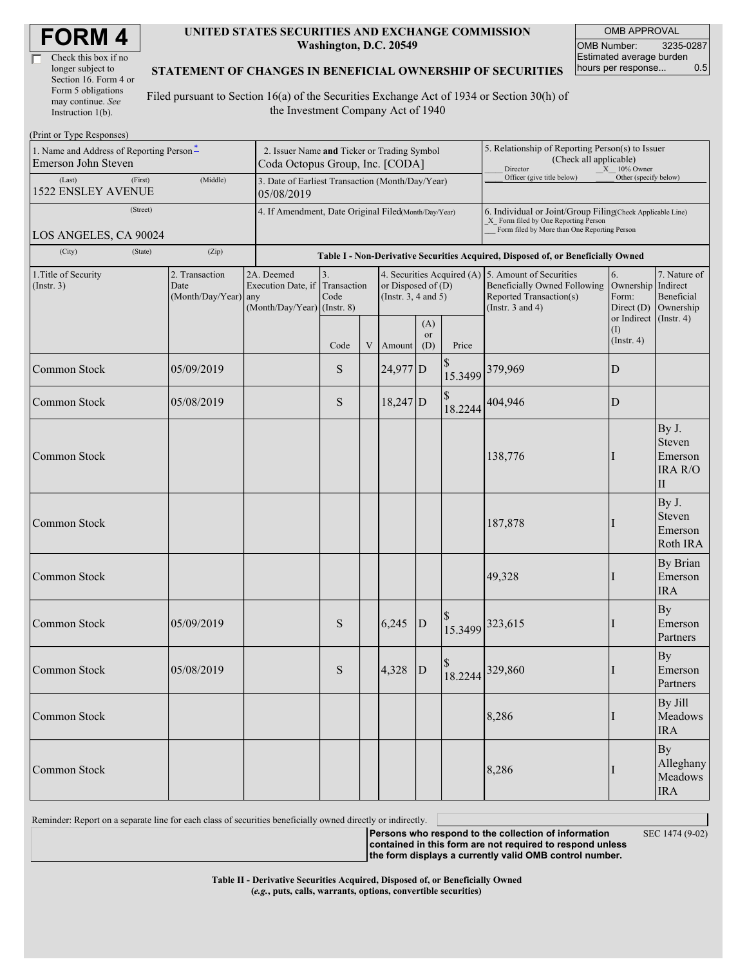| <b>FORM4</b> |
|--------------|
|--------------|

| Check this box if no  |
|-----------------------|
| longer subject to     |
| Section 16. Form 4 or |
| Form 5 obligations    |
| may continue. See     |
| Instruction $1(b)$ .  |

#### **UNITED STATES SECURITIES AND EXCHANGE COMMISSION Washington, D.C. 20549**

OMB APPROVAL OMB Number: 3235-0287 Estimated average burden hours per response... 0.5

#### **STATEMENT OF CHANGES IN BENEFICIAL OWNERSHIP OF SECURITIES**

Filed pursuant to Section 16(a) of the Securities Exchange Act of 1934 or Section 30(h) of the Investment Company Act of 1940

| (Print or Type Responses)                      |                                                |                                                                |                                                                                                                                                                                         |   |            |                                                                                  |                                                                  |                                                                                                    |                         |                                                              |  |  |
|------------------------------------------------|------------------------------------------------|----------------------------------------------------------------|-----------------------------------------------------------------------------------------------------------------------------------------------------------------------------------------|---|------------|----------------------------------------------------------------------------------|------------------------------------------------------------------|----------------------------------------------------------------------------------------------------|-------------------------|--------------------------------------------------------------|--|--|
| 1. Name and Address of Reporting Person-       | 2. Issuer Name and Ticker or Trading Symbol    |                                                                |                                                                                                                                                                                         |   |            |                                                                                  | 5. Relationship of Reporting Person(s) to Issuer                 |                                                                                                    |                         |                                                              |  |  |
| Emerson John Steven                            | Coda Octopus Group, Inc. [CODA]                |                                                                |                                                                                                                                                                                         |   |            |                                                                                  | (Check all applicable)<br>Director<br>$X = 10\%$ Owner           |                                                                                                    |                         |                                                              |  |  |
| (First)<br>(Last)<br><b>1522 ENSLEY AVENUE</b> | (Middle)                                       | 3. Date of Earliest Transaction (Month/Day/Year)<br>05/08/2019 |                                                                                                                                                                                         |   |            |                                                                                  |                                                                  | Officer (give title below)                                                                         | Other (specify below)   |                                                              |  |  |
| (Street)                                       |                                                | 4. If Amendment, Date Original Filed(Month/Day/Year)           |                                                                                                                                                                                         |   |            |                                                                                  |                                                                  | 6. Individual or Joint/Group Filing(Check Applicable Line)<br>X Form filed by One Reporting Person |                         |                                                              |  |  |
| LOS ANGELES, CA 90024                          |                                                |                                                                |                                                                                                                                                                                         |   |            |                                                                                  |                                                                  | Form filed by More than One Reporting Person                                                       |                         |                                                              |  |  |
| (City)<br>(State)                              | (Zip)                                          |                                                                |                                                                                                                                                                                         |   |            |                                                                                  |                                                                  | Table I - Non-Derivative Securities Acquired, Disposed of, or Beneficially Owned                   |                         |                                                              |  |  |
| 1. Title of Security<br>(Insert. 3)            | 2. Transaction<br>Date<br>(Month/Day/Year) any | 2A. Deemed                                                     | 3.<br>4. Securities Acquired (A) 5. Amount of Securities<br>Execution Date, if Transaction<br>or Disposed of $(D)$<br>Code<br>(Instr. $3, 4$ and $5$ )<br>$(Month/Day/Year)$ (Instr. 8) |   |            | Beneficially Owned Following<br>Reported Transaction(s)<br>(Instr. $3$ and $4$ ) | 6.<br>Ownership Indirect<br>Form:<br>Direct $(D)$<br>or Indirect | 7. Nature of<br>Beneficial<br>Ownership                                                            |                         |                                                              |  |  |
|                                                |                                                |                                                                | Code                                                                                                                                                                                    | V | Amount     | (A)<br><b>or</b><br>(D)                                                          | Price                                                            |                                                                                                    | (1)<br>$($ Instr. 4 $)$ | $($ Instr. 4 $)$                                             |  |  |
| Common Stock                                   | 05/09/2019                                     |                                                                | S                                                                                                                                                                                       |   | 24,977 D   |                                                                                  | 15.3499                                                          | 379,969                                                                                            | $\mathbf D$             |                                                              |  |  |
| Common Stock                                   | 05/08/2019                                     |                                                                | S                                                                                                                                                                                       |   | $18,247$ D |                                                                                  | \$<br>18.2244                                                    | 404,946                                                                                            | D                       |                                                              |  |  |
| Common Stock                                   |                                                |                                                                |                                                                                                                                                                                         |   |            |                                                                                  |                                                                  | 138,776                                                                                            |                         | By J.<br>Steven<br>Emerson<br><b>IRA R/O</b><br>$\mathbf{I}$ |  |  |
| Common Stock                                   |                                                |                                                                |                                                                                                                                                                                         |   |            |                                                                                  |                                                                  | 187,878                                                                                            |                         | By J.<br>Steven<br>Emerson<br>Roth IRA                       |  |  |
| Common Stock                                   |                                                |                                                                |                                                                                                                                                                                         |   |            |                                                                                  |                                                                  | 49,328                                                                                             |                         | By Brian<br>Emerson<br><b>IRA</b>                            |  |  |
| Common Stock                                   | 05/09/2019                                     |                                                                | S                                                                                                                                                                                       |   | 6,245      | ${\bf D}$                                                                        | 15.3499                                                          | 323,615                                                                                            | $\bf{l}$                | <b>By</b><br>Emerson<br>Partners                             |  |  |
| Common Stock                                   | 05/08/2019                                     |                                                                | S                                                                                                                                                                                       |   | 4,328      | D                                                                                |                                                                  | 18.2244 329,860                                                                                    |                         | <b>By</b><br>Emerson<br>Partners                             |  |  |
| Common Stock                                   |                                                |                                                                |                                                                                                                                                                                         |   |            |                                                                                  |                                                                  | 8,286                                                                                              | I                       | By Jill<br>Meadows<br><b>IRA</b>                             |  |  |
| Common Stock                                   |                                                |                                                                |                                                                                                                                                                                         |   |            |                                                                                  |                                                                  | 8,286                                                                                              |                         | By<br>Alleghany<br>Meadows<br><b>IRA</b>                     |  |  |

Reminder: Report on a separate line for each class of securities beneficially owned directly or indirectly.

**Persons who respond to the collection of information contained in this form are not required to respond unless the form displays a currently valid OMB control number.**

SEC 1474 (9-02)

**Table II - Derivative Securities Acquired, Disposed of, or Beneficially Owned (***e.g.***, puts, calls, warrants, options, convertible securities)**